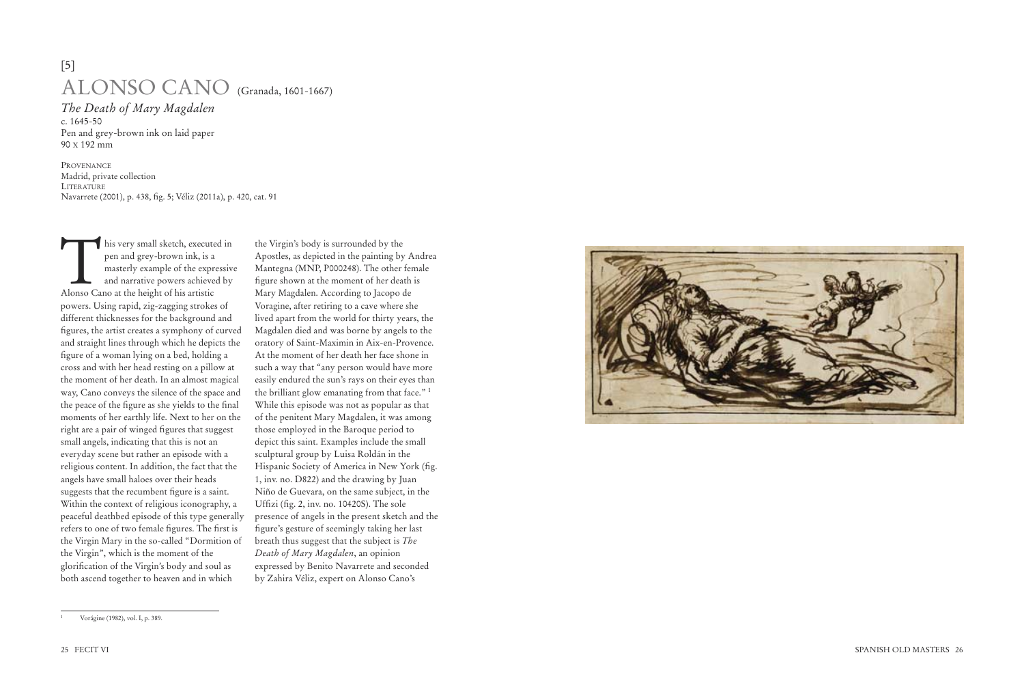his very small sketch, executed in pen and grey-brown ink, is a masterly example of the expressive and narrative powers achieved by Alonso Cano at the height of his artistic powers. Using rapid, zig-zagging strokes of different thicknesses for the background and figures, the artist creates a symphony of curved and straight lines through which he depicts the figure of a woman lying on a bed, holding a cross and with her head resting on a pillow at the moment of her death. In an almost magical way, Cano conveys the silence of the space and the peace of the figure as she yields to the final moments of her earthly life. Next to her on the right are a pair of winged figures that suggest small angels, indicating that this is not an everyday scene but rather an episode with a religious content. In addition, the fact that the angels have small haloes over their heads suggests that the recumbent figure is a saint. Within the context of religious iconography, a peaceful deathbed episode of this type generally refers to one of two female figures. The first is the Virgin Mary in the so-called "Dormition of the Virgin", which is the moment of the glorification of the Virgin's body and soul as both ascend together to heaven and in which



<sup>1</sup> Vorágine (1982), vol. I, p. 389.

the Virgin's body is surrounded by the Apostles, as depicted in the painting by Andrea Mantegna (MNP, P000248). The other female figure shown at the moment of her death is Mary Magdalen. According to Jacopo de Voragine, after retiring to a cave where she lived apart from the world for thirty years, the Magdalen died and was borne by angels to the oratory of Saint-Maximin in Aix-en-Provence. At the moment of her death her face shone in such a way that "any person would have more easily endured the sun's rays on their eyes than the brilliant glow emanating from that face." 1 While this episode was not as popular as that of the penitent Mary Magdalen, it was among those employed in the Baroque period to depict this saint. Examples include the small sculptural group by Luisa Roldán in the Hispanic Society of America in New York (fig. 1, inv. no. D822) and the drawing by Juan Niño de Guevara, on the same subject, in the Uffizi (fig. 2, inv. no. 10420S). The sole presence of angels in the present sketch and the figure's gesture of seemingly taking her last breath thus suggest that the subject is *The Death of Mary Magdalen*, an opinion expressed by Benito Navarrete and seconded by Zahira Véliz, expert on Alonso Cano's

## [5] ALONSO CANO (Granada, 1601-1667)

*The Death of Mary Magdalen* c. 1645-50 Pen and grey-brown ink on laid paper 90 X 192 mm

PROVENANCE Madrid, private collection LITERATURE Navarrete (2001), p. 438, fig. 5; Véliz (2011a), p. 420, cat. 91